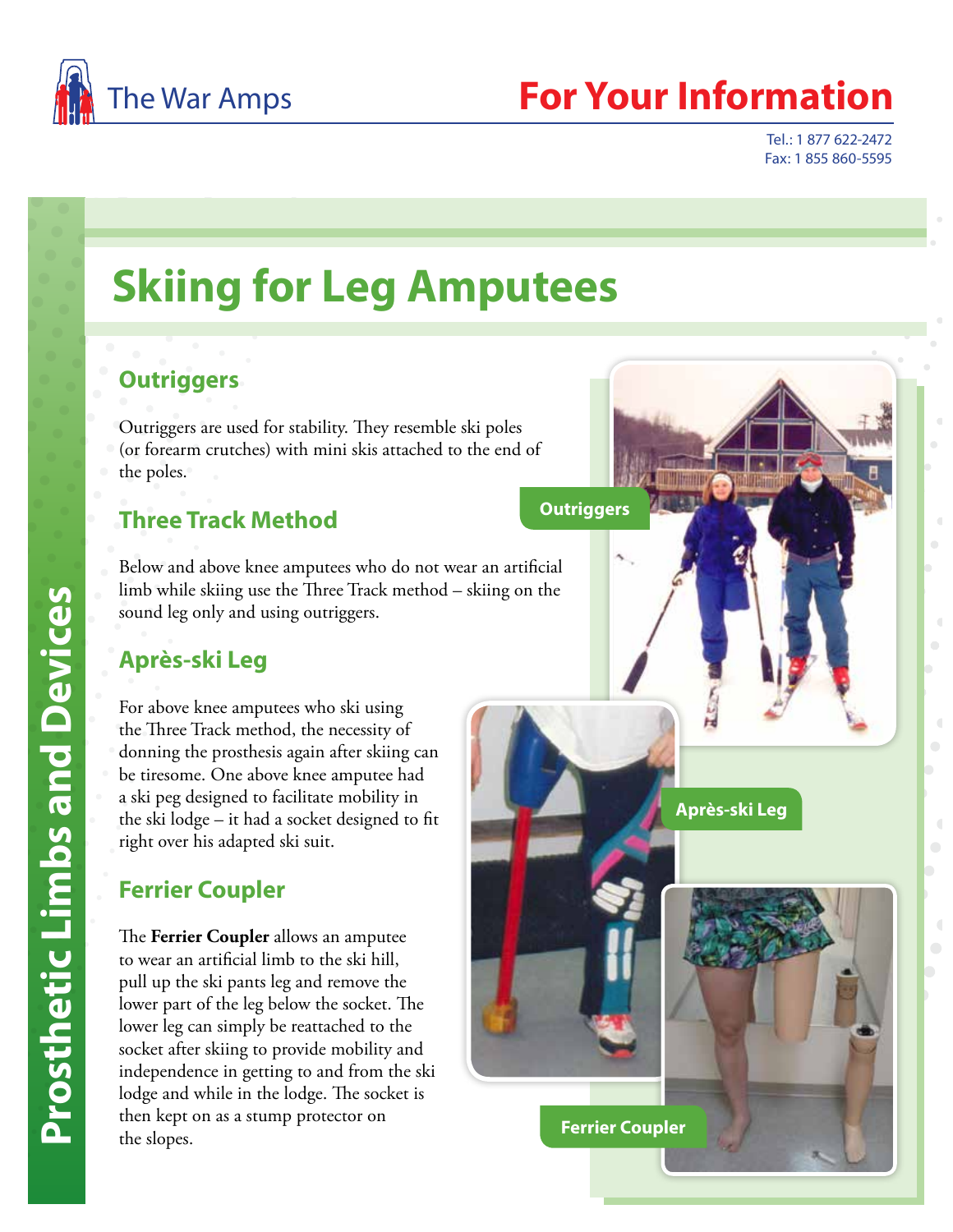

# The War Amps **For Your Information**

**Après-ski Leg**

Tel.: 1 877 622-2472 Fax: 1 855 860-5595

# **Skiing for Leg Amputees**

## **Outriggers**

Outriggers are used for stability. They resemble ski poles (or forearm crutches) with mini skis attached to the end of the poles.

# **Three Track Method**

Below and above knee amputees who do not wear an artificial limb while skiing use the Three Track method – skiing on the sound leg only and using outriggers.

# **Après-ski Leg**

For above knee amputees who ski using the Three Track method, the necessity of donning the prosthesis again after skiing can be tiresome. One above knee amputee had a ski peg designed to facilitate mobility in the ski lodge – it had a socket designed to fit right over his adapted ski suit.

# **Ferrier Coupler**

The **Ferrier Coupler** allows an amputee to wear an artificial limb to the ski hill, pull up the ski pants leg and remove the lower part of the leg below the socket. The lower leg can simply be reattached to the socket after skiing to provide mobility and independence in getting to and from the ski lodge and while in the lodge. The socket is then kept on as a stump protector on the slopes.

**Outriggers**

**Ferrier Coupler**